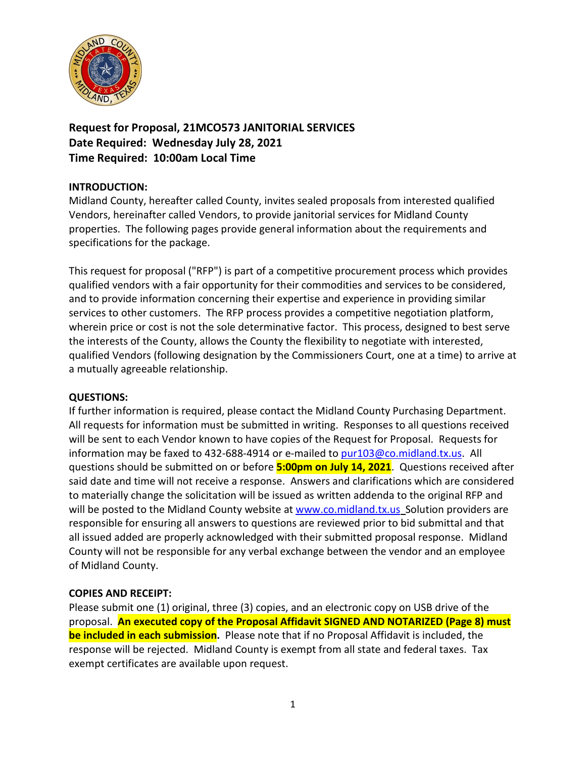

**Request for Proposal, 21MCO573 JANITORIAL SERVICES Date Required: Wednesday July 28, 2021 Time Required: 10:00am Local Time**

# **INTRODUCTION:**

Midland County, hereafter called County, invites sealed proposals from interested qualified Vendors, hereinafter called Vendors, to provide janitorial services for Midland County properties. The following pages provide general information about the requirements and specifications for the package.

This request for proposal ("RFP") is part of a competitive procurement process which provides qualified vendors with a fair opportunity for their commodities and services to be considered, and to provide information concerning their expertise and experience in providing similar services to other customers. The RFP process provides a competitive negotiation platform, wherein price or cost is not the sole determinative factor. This process, designed to best serve the interests of the County, allows the County the flexibility to negotiate with interested, qualified Vendors (following designation by the Commissioners Court, one at a time) to arrive at a mutually agreeable relationship.

#### **QUESTIONS:**

If further information is required, please contact the Midland County Purchasing Department. All requests for information must be submitted in writing. Responses to all questions received will be sent to each Vendor known to have copies of the Request for Proposal. Requests for information may be faxed to 432-688-4914 or e-mailed to [pur103@co.midland.tx.us.](mailto:pur103@co.midland.tx.us) All questions should be submitted on or before **5:00pm on July 14, 2021**. Questions received after said date and time will not receive a response. Answers and clarifications which are considered to materially change the solicitation will be issued as written addenda to the original RFP and will be posted to the Midland County website at [www.co.midland.tx.us](http://www.co.midland.tx.us/) Solution providers are responsible for ensuring all answers to questions are reviewed prior to bid submittal and that all issued added are properly acknowledged with their submitted proposal response. Midland County will not be responsible for any verbal exchange between the vendor and an employee of Midland County.

#### **COPIES AND RECEIPT:**

Please submit one (1) original, three (3) copies, and an electronic copy on USB drive of the proposal. **An executed copy of the Proposal Affidavit SIGNED AND NOTARIZED (Page 8) must be included in each submission.** Please note that if no Proposal Affidavit is included, the response will be rejected. Midland County is exempt from all state and federal taxes. Tax exempt certificates are available upon request.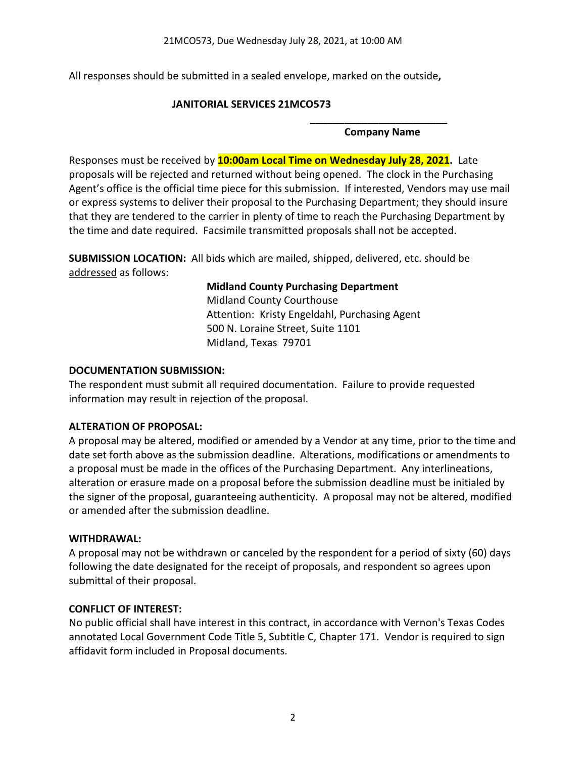All responses should be submitted in a sealed envelope, marked on the outside**,** 

### **JANITORIAL SERVICES 21MCO573**

#### **\_\_\_\_\_\_\_\_\_\_\_\_\_\_\_\_\_\_\_\_\_\_\_\_ Company Name**

Responses must be received by **10:00am Local Time on Wednesday July 28, 2021.** Late proposals will be rejected and returned without being opened. The clock in the Purchasing Agent's office is the official time piece for this submission. If interested, Vendors may use mail or express systems to deliver their proposal to the Purchasing Department; they should insure that they are tendered to the carrier in plenty of time to reach the Purchasing Department by the time and date required. Facsimile transmitted proposals shall not be accepted.

**SUBMISSION LOCATION:** All bids which are mailed, shipped, delivered, etc. should be addressed as follows:

# **Midland County Purchasing Department**

Midland County Courthouse Attention: Kristy Engeldahl, Purchasing Agent 500 N. Loraine Street, Suite 1101 Midland, Texas 79701

### **DOCUMENTATION SUBMISSION:**

The respondent must submit all required documentation. Failure to provide requested information may result in rejection of the proposal.

# **ALTERATION OF PROPOSAL:**

A proposal may be altered, modified or amended by a Vendor at any time, prior to the time and date set forth above as the submission deadline. Alterations, modifications or amendments to a proposal must be made in the offices of the Purchasing Department. Any interlineations, alteration or erasure made on a proposal before the submission deadline must be initialed by the signer of the proposal, guaranteeing authenticity. A proposal may not be altered, modified or amended after the submission deadline.

# **WITHDRAWAL:**

A proposal may not be withdrawn or canceled by the respondent for a period of sixty (60) days following the date designated for the receipt of proposals, and respondent so agrees upon submittal of their proposal.

# **CONFLICT OF INTEREST:**

No public official shall have interest in this contract, in accordance with Vernon's Texas Codes annotated Local Government Code Title 5, Subtitle C, Chapter 171. Vendor is required to sign affidavit form included in Proposal documents.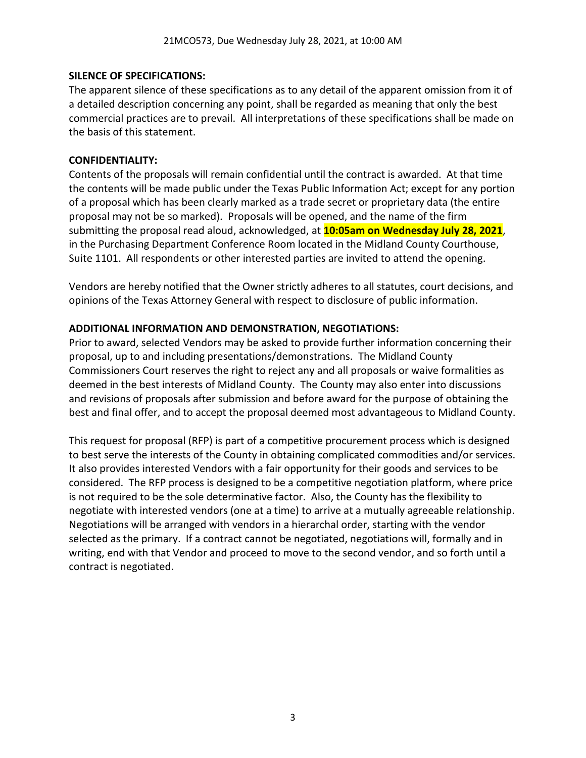### **SILENCE OF SPECIFICATIONS:**

The apparent silence of these specifications as to any detail of the apparent omission from it of a detailed description concerning any point, shall be regarded as meaning that only the best commercial practices are to prevail. All interpretations of these specifications shall be made on the basis of this statement.

### **CONFIDENTIALITY:**

Contents of the proposals will remain confidential until the contract is awarded. At that time the contents will be made public under the Texas Public Information Act; except for any portion of a proposal which has been clearly marked as a trade secret or proprietary data (the entire proposal may not be so marked). Proposals will be opened, and the name of the firm submitting the proposal read aloud, acknowledged, at **10:05am on Wednesday July 28, 2021**, in the Purchasing Department Conference Room located in the Midland County Courthouse, Suite 1101. All respondents or other interested parties are invited to attend the opening.

Vendors are hereby notified that the Owner strictly adheres to all statutes, court decisions, and opinions of the Texas Attorney General with respect to disclosure of public information.

### **ADDITIONAL INFORMATION AND DEMONSTRATION, NEGOTIATIONS:**

Prior to award, selected Vendors may be asked to provide further information concerning their proposal, up to and including presentations/demonstrations. The Midland County Commissioners Court reserves the right to reject any and all proposals or waive formalities as deemed in the best interests of Midland County. The County may also enter into discussions and revisions of proposals after submission and before award for the purpose of obtaining the best and final offer, and to accept the proposal deemed most advantageous to Midland County.

This request for proposal (RFP) is part of a competitive procurement process which is designed to best serve the interests of the County in obtaining complicated commodities and/or services. It also provides interested Vendors with a fair opportunity for their goods and services to be considered. The RFP process is designed to be a competitive negotiation platform, where price is not required to be the sole determinative factor. Also, the County has the flexibility to negotiate with interested vendors (one at a time) to arrive at a mutually agreeable relationship. Negotiations will be arranged with vendors in a hierarchal order, starting with the vendor selected as the primary. If a contract cannot be negotiated, negotiations will, formally and in writing, end with that Vendor and proceed to move to the second vendor, and so forth until a contract is negotiated.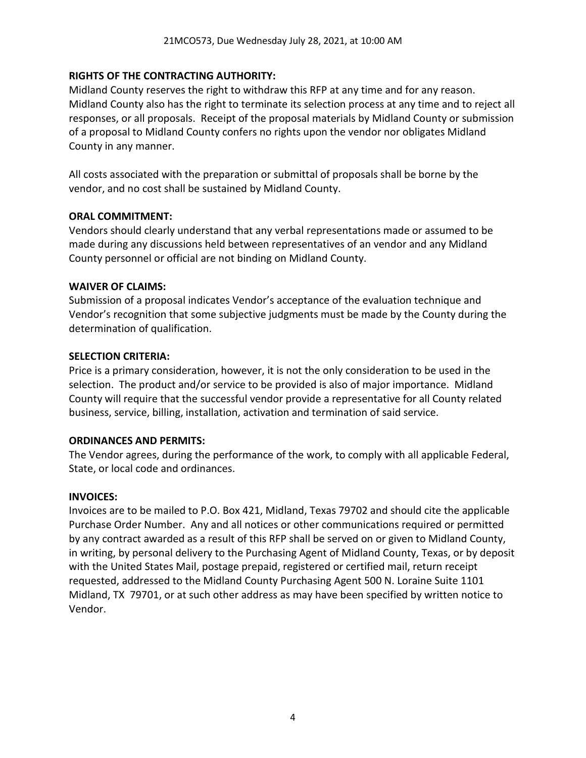### **RIGHTS OF THE CONTRACTING AUTHORITY:**

Midland County reserves the right to withdraw this RFP at any time and for any reason. Midland County also has the right to terminate its selection process at any time and to reject all responses, or all proposals. Receipt of the proposal materials by Midland County or submission of a proposal to Midland County confers no rights upon the vendor nor obligates Midland County in any manner.

All costs associated with the preparation or submittal of proposals shall be borne by the vendor, and no cost shall be sustained by Midland County.

#### **ORAL COMMITMENT:**

Vendors should clearly understand that any verbal representations made or assumed to be made during any discussions held between representatives of an vendor and any Midland County personnel or official are not binding on Midland County.

#### **WAIVER OF CLAIMS:**

Submission of a proposal indicates Vendor's acceptance of the evaluation technique and Vendor's recognition that some subjective judgments must be made by the County during the determination of qualification.

#### **SELECTION CRITERIA:**

Price is a primary consideration, however, it is not the only consideration to be used in the selection. The product and/or service to be provided is also of major importance. Midland County will require that the successful vendor provide a representative for all County related business, service, billing, installation, activation and termination of said service.

#### **ORDINANCES AND PERMITS:**

The Vendor agrees, during the performance of the work, to comply with all applicable Federal, State, or local code and ordinances.

#### **INVOICES:**

Invoices are to be mailed to P.O. Box 421, Midland, Texas 79702 and should cite the applicable Purchase Order Number. Any and all notices or other communications required or permitted by any contract awarded as a result of this RFP shall be served on or given to Midland County, in writing, by personal delivery to the Purchasing Agent of Midland County, Texas, or by deposit with the United States Mail, postage prepaid, registered or certified mail, return receipt requested, addressed to the Midland County Purchasing Agent 500 N. Loraine Suite 1101 Midland, TX 79701, or at such other address as may have been specified by written notice to Vendor.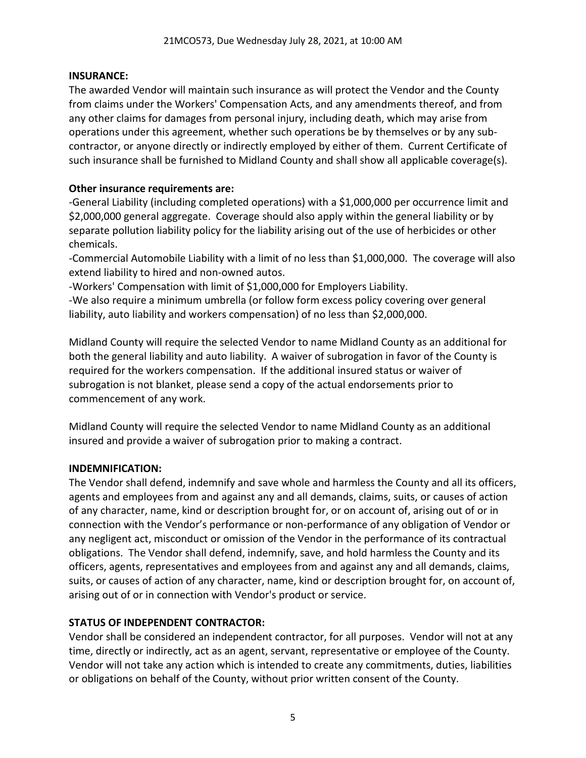### **INSURANCE:**

The awarded Vendor will maintain such insurance as will protect the Vendor and the County from claims under the Workers' Compensation Acts, and any amendments thereof, and from any other claims for damages from personal injury, including death, which may arise from operations under this agreement, whether such operations be by themselves or by any subcontractor, or anyone directly or indirectly employed by either of them. Current Certificate of such insurance shall be furnished to Midland County and shall show all applicable coverage(s).

### **Other insurance requirements are:**

-General Liability (including completed operations) with a \$1,000,000 per occurrence limit and \$2,000,000 general aggregate. Coverage should also apply within the general liability or by separate pollution liability policy for the liability arising out of the use of herbicides or other chemicals.

-Commercial Automobile Liability with a limit of no less than \$1,000,000. The coverage will also extend liability to hired and non-owned autos.

-Workers' Compensation with limit of \$1,000,000 for Employers Liability.

-We also require a minimum umbrella (or follow form excess policy covering over general liability, auto liability and workers compensation) of no less than \$2,000,000.

Midland County will require the selected Vendor to name Midland County as an additional for both the general liability and auto liability. A waiver of subrogation in favor of the County is required for the workers compensation. If the additional insured status or waiver of subrogation is not blanket, please send a copy of the actual endorsements prior to commencement of any work.

Midland County will require the selected Vendor to name Midland County as an additional insured and provide a waiver of subrogation prior to making a contract.

# **INDEMNIFICATION:**

The Vendor shall defend, indemnify and save whole and harmless the County and all its officers, agents and employees from and against any and all demands, claims, suits, or causes of action of any character, name, kind or description brought for, or on account of, arising out of or in connection with the Vendor's performance or non-performance of any obligation of Vendor or any negligent act, misconduct or omission of the Vendor in the performance of its contractual obligations. The Vendor shall defend, indemnify, save, and hold harmless the County and its officers, agents, representatives and employees from and against any and all demands, claims, suits, or causes of action of any character, name, kind or description brought for, on account of, arising out of or in connection with Vendor's product or service.

# **STATUS OF INDEPENDENT CONTRACTOR:**

Vendor shall be considered an independent contractor, for all purposes. Vendor will not at any time, directly or indirectly, act as an agent, servant, representative or employee of the County. Vendor will not take any action which is intended to create any commitments, duties, liabilities or obligations on behalf of the County, without prior written consent of the County.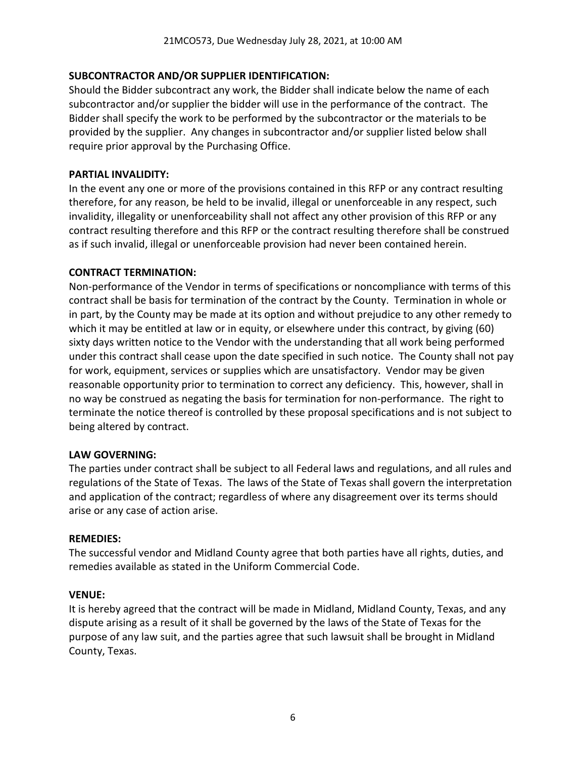### **SUBCONTRACTOR AND/OR SUPPLIER IDENTIFICATION:**

Should the Bidder subcontract any work, the Bidder shall indicate below the name of each subcontractor and/or supplier the bidder will use in the performance of the contract. The Bidder shall specify the work to be performed by the subcontractor or the materials to be provided by the supplier. Any changes in subcontractor and/or supplier listed below shall require prior approval by the Purchasing Office.

### **PARTIAL INVALIDITY:**

In the event any one or more of the provisions contained in this RFP or any contract resulting therefore, for any reason, be held to be invalid, illegal or unenforceable in any respect, such invalidity, illegality or unenforceability shall not affect any other provision of this RFP or any contract resulting therefore and this RFP or the contract resulting therefore shall be construed as if such invalid, illegal or unenforceable provision had never been contained herein.

#### **CONTRACT TERMINATION:**

Non-performance of the Vendor in terms of specifications or noncompliance with terms of this contract shall be basis for termination of the contract by the County. Termination in whole or in part, by the County may be made at its option and without prejudice to any other remedy to which it may be entitled at law or in equity, or elsewhere under this contract, by giving (60) sixty days written notice to the Vendor with the understanding that all work being performed under this contract shall cease upon the date specified in such notice. The County shall not pay for work, equipment, services or supplies which are unsatisfactory. Vendor may be given reasonable opportunity prior to termination to correct any deficiency. This, however, shall in no way be construed as negating the basis for termination for non-performance. The right to terminate the notice thereof is controlled by these proposal specifications and is not subject to being altered by contract.

#### **LAW GOVERNING:**

The parties under contract shall be subject to all Federal laws and regulations, and all rules and regulations of the State of Texas. The laws of the State of Texas shall govern the interpretation and application of the contract; regardless of where any disagreement over its terms should arise or any case of action arise.

#### **REMEDIES:**

The successful vendor and Midland County agree that both parties have all rights, duties, and remedies available as stated in the Uniform Commercial Code.

#### **VENUE:**

It is hereby agreed that the contract will be made in Midland, Midland County, Texas, and any dispute arising as a result of it shall be governed by the laws of the State of Texas for the purpose of any law suit, and the parties agree that such lawsuit shall be brought in Midland County, Texas.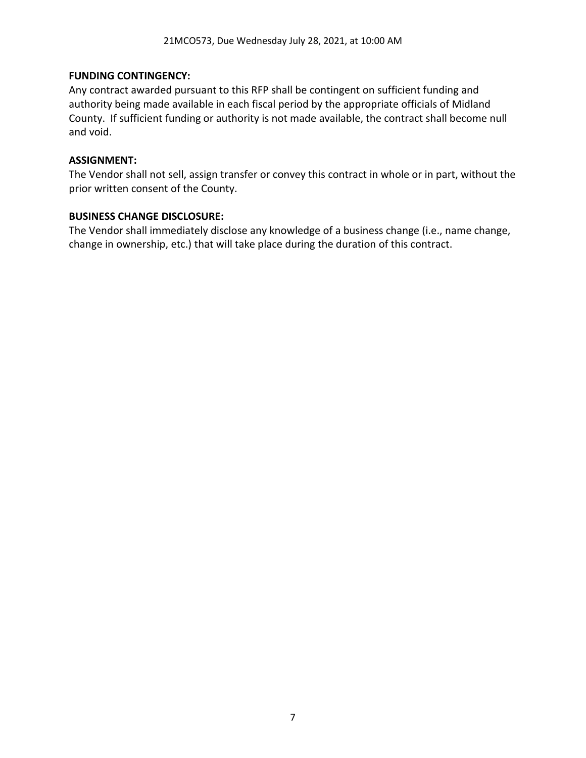### **FUNDING CONTINGENCY:**

Any contract awarded pursuant to this RFP shall be contingent on sufficient funding and authority being made available in each fiscal period by the appropriate officials of Midland County. If sufficient funding or authority is not made available, the contract shall become null and void.

### **ASSIGNMENT:**

The Vendor shall not sell, assign transfer or convey this contract in whole or in part, without the prior written consent of the County.

#### **BUSINESS CHANGE DISCLOSURE:**

The Vendor shall immediately disclose any knowledge of a business change (i.e., name change, change in ownership, etc.) that will take place during the duration of this contract.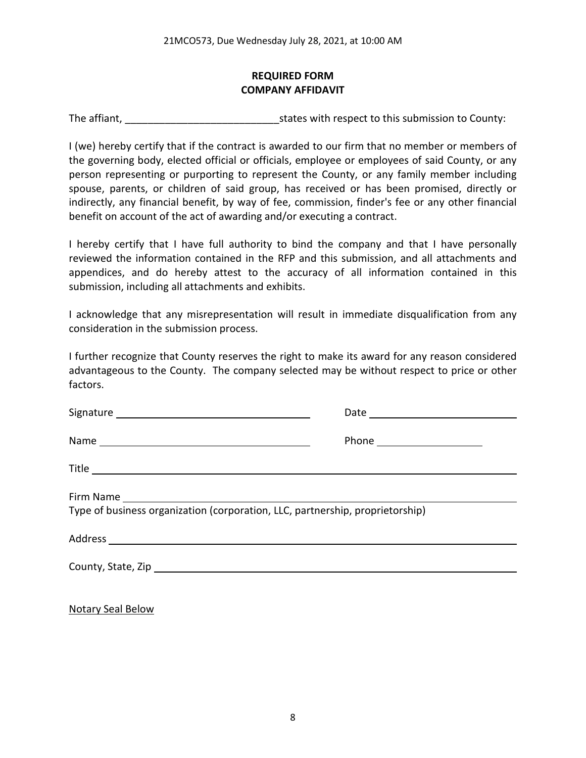# **REQUIRED FORM COMPANY AFFIDAVIT**

The affiant, The affiant, The affiant,  $\frac{1}{2}$  states with respect to this submission to County:

I (we) hereby certify that if the contract is awarded to our firm that no member or members of the governing body, elected official or officials, employee or employees of said County, or any person representing or purporting to represent the County, or any family member including spouse, parents, or children of said group, has received or has been promised, directly or indirectly, any financial benefit, by way of fee, commission, finder's fee or any other financial benefit on account of the act of awarding and/or executing a contract.

I hereby certify that I have full authority to bind the company and that I have personally reviewed the information contained in the RFP and this submission, and all attachments and appendices, and do hereby attest to the accuracy of all information contained in this submission, including all attachments and exhibits.

I acknowledge that any misrepresentation will result in immediate disqualification from any consideration in the submission process.

I further recognize that County reserves the right to make its award for any reason considered advantageous to the County. The company selected may be without respect to price or other factors.

| Type of business organization (corporation, LLC, partnership, proprietorship) |  |  |  |
|-------------------------------------------------------------------------------|--|--|--|
|                                                                               |  |  |  |
|                                                                               |  |  |  |

Notary Seal Below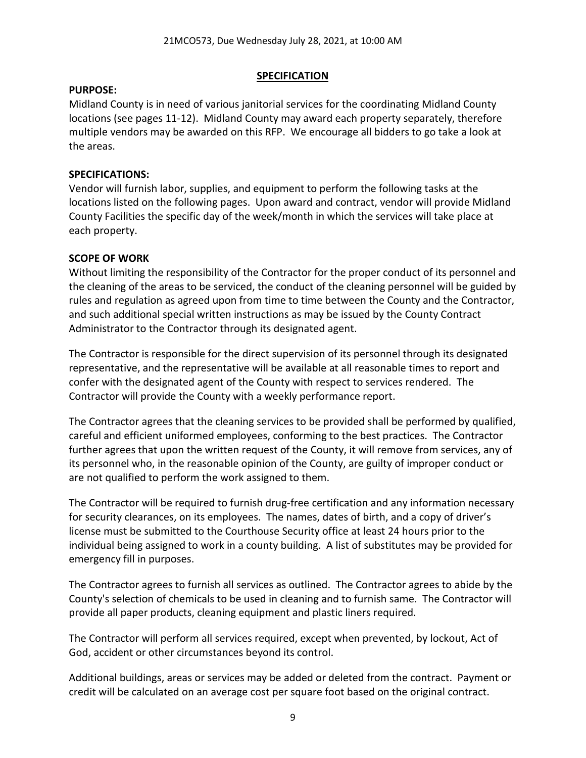#### **SPECIFICATION**

#### **PURPOSE:**

Midland County is in need of various janitorial services for the coordinating Midland County locations (see pages 11-12). Midland County may award each property separately, therefore multiple vendors may be awarded on this RFP. We encourage all bidders to go take a look at the areas.

### **SPECIFICATIONS:**

Vendor will furnish labor, supplies, and equipment to perform the following tasks at the locations listed on the following pages. Upon award and contract, vendor will provide Midland County Facilities the specific day of the week/month in which the services will take place at each property.

# **SCOPE OF WORK**

Without limiting the responsibility of the Contractor for the proper conduct of its personnel and the cleaning of the areas to be serviced, the conduct of the cleaning personnel will be guided by rules and regulation as agreed upon from time to time between the County and the Contractor, and such additional special written instructions as may be issued by the County Contract Administrator to the Contractor through its designated agent.

The Contractor is responsible for the direct supervision of its personnel through its designated representative, and the representative will be available at all reasonable times to report and confer with the designated agent of the County with respect to services rendered. The Contractor will provide the County with a weekly performance report.

The Contractor agrees that the cleaning services to be provided shall be performed by qualified, careful and efficient uniformed employees, conforming to the best practices. The Contractor further agrees that upon the written request of the County, it will remove from services, any of its personnel who, in the reasonable opinion of the County, are guilty of improper conduct or are not qualified to perform the work assigned to them.

The Contractor will be required to furnish drug-free certification and any information necessary for security clearances, on its employees. The names, dates of birth, and a copy of driver's license must be submitted to the Courthouse Security office at least 24 hours prior to the individual being assigned to work in a county building. A list of substitutes may be provided for emergency fill in purposes.

The Contractor agrees to furnish all services as outlined. The Contractor agrees to abide by the County's selection of chemicals to be used in cleaning and to furnish same. The Contractor will provide all paper products, cleaning equipment and plastic liners required.

The Contractor will perform all services required, except when prevented, by lockout, Act of God, accident or other circumstances beyond its control.

Additional buildings, areas or services may be added or deleted from the contract. Payment or credit will be calculated on an average cost per square foot based on the original contract.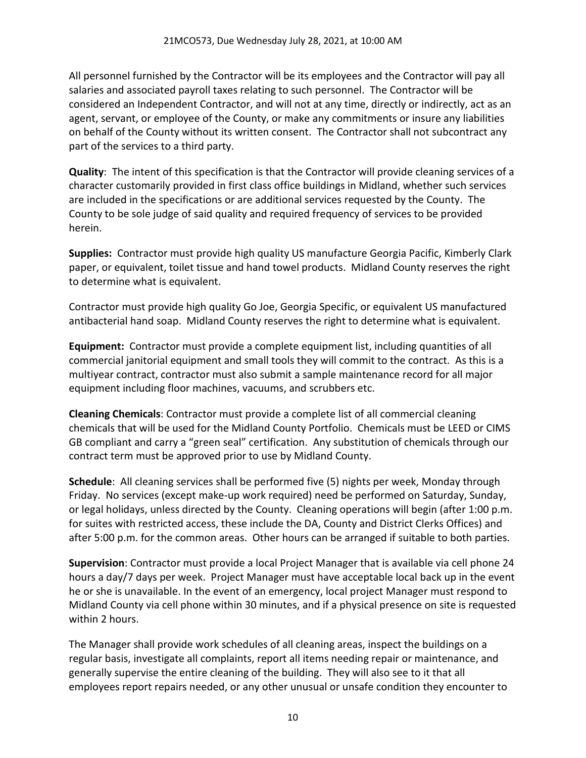All personnel furnished by the Contractor will be its employees and the Contractor will pay all salaries and associated payroll taxes relating to such personnel. The Contractor will be considered an Independent Contractor, and will not at any time, directly or indirectly, act as an agent, servant, or employee of the County, or make any commitments or insure any liabilities on behalf of the County without its written consent. The Contractor shall not subcontract any part of the services to a third party.

**Quality**: The intent of this specification is that the Contractor will provide cleaning services of a character customarily provided in first class office buildings in Midland, whether such services are included in the specifications or are additional services requested by the County. The County to be sole judge of said quality and required frequency of services to be provided herein.

**Supplies:** Contractor must provide high quality US manufacture Georgia Pacific, Kimberly Clark paper, or equivalent, toilet tissue and hand towel products. Midland County reserves the right to determine what is equivalent.

Contractor must provide high quality Go Joe, Georgia Specific, or equivalent US manufactured antibacterial hand soap. Midland County reserves the right to determine what is equivalent.

**Equipment:** Contractor must provide a complete equipment list, including quantities of all commercial janitorial equipment and small tools they will commit to the contract. As this is a multiyear contract, contractor must also submit a sample maintenance record for all major equipment including floor machines, vacuums, and scrubbers etc.

**Cleaning Chemicals**: Contractor must provide a complete list of all commercial cleaning chemicals that will be used for the Midland County Portfolio. Chemicals must be LEED or CIMS GB compliant and carry a "green seal" certification. Any substitution of chemicals through our contract term must be approved prior to use by Midland County.

**Schedule**: All cleaning services shall be performed five (5) nights per week, Monday through Friday. No services (except make-up work required) need be performed on Saturday, Sunday, or legal holidays, unless directed by the County. Cleaning operations will begin (after 1:00 p.m. for suites with restricted access, these include the DA, County and District Clerks Offices) and after 5:00 p.m. for the common areas. Other hours can be arranged if suitable to both parties.

**Supervision**: Contractor must provide a local Project Manager that is available via cell phone 24 hours a day/7 days per week. Project Manager must have acceptable local back up in the event he or she is unavailable. In the event of an emergency, local project Manager must respond to Midland County via cell phone within 30 minutes, and if a physical presence on site is requested within 2 hours.

The Manager shall provide work schedules of all cleaning areas, inspect the buildings on a regular basis, investigate all complaints, report all items needing repair or maintenance, and generally supervise the entire cleaning of the building. They will also see to it that all employees report repairs needed, or any other unusual or unsafe condition they encounter to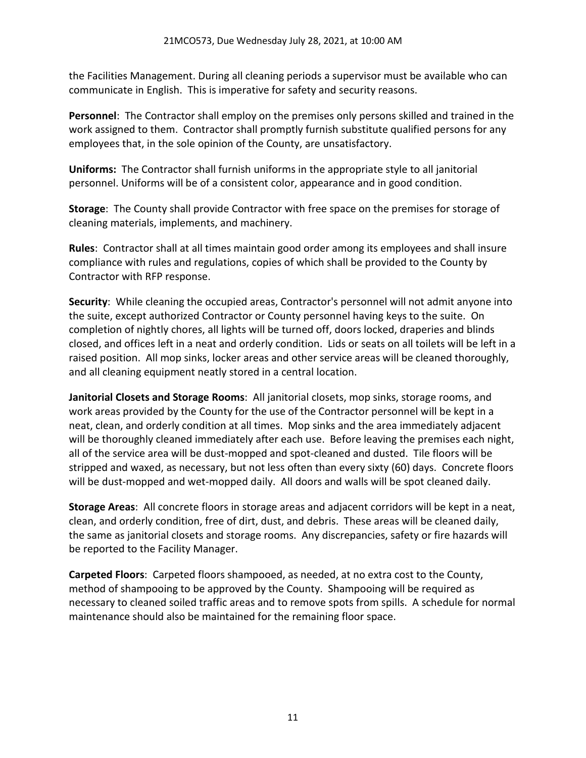the Facilities Management. During all cleaning periods a supervisor must be available who can communicate in English. This is imperative for safety and security reasons.

**Personnel**: The Contractor shall employ on the premises only persons skilled and trained in the work assigned to them. Contractor shall promptly furnish substitute qualified persons for any employees that, in the sole opinion of the County, are unsatisfactory.

**Uniforms:** The Contractor shall furnish uniforms in the appropriate style to all janitorial personnel. Uniforms will be of a consistent color, appearance and in good condition.

**Storage**: The County shall provide Contractor with free space on the premises for storage of cleaning materials, implements, and machinery.

**Rules**: Contractor shall at all times maintain good order among its employees and shall insure compliance with rules and regulations, copies of which shall be provided to the County by Contractor with RFP response.

**Security**: While cleaning the occupied areas, Contractor's personnel will not admit anyone into the suite, except authorized Contractor or County personnel having keys to the suite. On completion of nightly chores, all lights will be turned off, doors locked, draperies and blinds closed, and offices left in a neat and orderly condition. Lids or seats on all toilets will be left in a raised position. All mop sinks, locker areas and other service areas will be cleaned thoroughly, and all cleaning equipment neatly stored in a central location.

**Janitorial Closets and Storage Rooms**: All janitorial closets, mop sinks, storage rooms, and work areas provided by the County for the use of the Contractor personnel will be kept in a neat, clean, and orderly condition at all times. Mop sinks and the area immediately adjacent will be thoroughly cleaned immediately after each use. Before leaving the premises each night, all of the service area will be dust-mopped and spot-cleaned and dusted. Tile floors will be stripped and waxed, as necessary, but not less often than every sixty (60) days. Concrete floors will be dust-mopped and wet-mopped daily. All doors and walls will be spot cleaned daily.

**Storage Areas**: All concrete floors in storage areas and adjacent corridors will be kept in a neat, clean, and orderly condition, free of dirt, dust, and debris. These areas will be cleaned daily, the same as janitorial closets and storage rooms. Any discrepancies, safety or fire hazards will be reported to the Facility Manager.

**Carpeted Floors**: Carpeted floors shampooed, as needed, at no extra cost to the County, method of shampooing to be approved by the County. Shampooing will be required as necessary to cleaned soiled traffic areas and to remove spots from spills. A schedule for normal maintenance should also be maintained for the remaining floor space.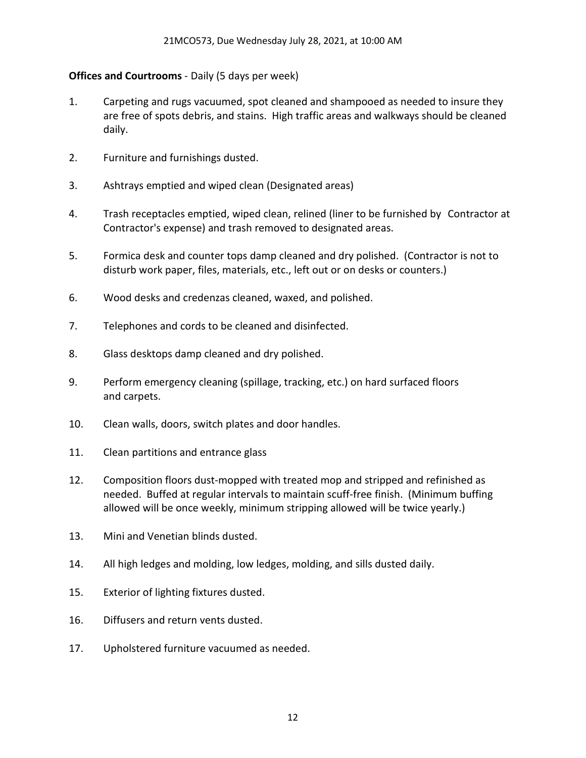### **Offices and Courtrooms** - Daily (5 days per week)

- 1. Carpeting and rugs vacuumed, spot cleaned and shampooed as needed to insure they are free of spots debris, and stains. High traffic areas and walkways should be cleaned daily.
- 2. Furniture and furnishings dusted.
- 3. Ashtrays emptied and wiped clean (Designated areas)
- 4. Trash receptacles emptied, wiped clean, relined (liner to be furnished by Contractor at Contractor's expense) and trash removed to designated areas.
- 5. Formica desk and counter tops damp cleaned and dry polished. (Contractor is not to disturb work paper, files, materials, etc., left out or on desks or counters.)
- 6. Wood desks and credenzas cleaned, waxed, and polished.
- 7. Telephones and cords to be cleaned and disinfected.
- 8. Glass desktops damp cleaned and dry polished.
- 9. Perform emergency cleaning (spillage, tracking, etc.) on hard surfaced floors and carpets.
- 10. Clean walls, doors, switch plates and door handles.
- 11. Clean partitions and entrance glass
- 12. Composition floors dust-mopped with treated mop and stripped and refinished as needed. Buffed at regular intervals to maintain scuff-free finish. (Minimum buffing allowed will be once weekly, minimum stripping allowed will be twice yearly.)
- 13. Mini and Venetian blinds dusted.
- 14. All high ledges and molding, low ledges, molding, and sills dusted daily.
- 15. Exterior of lighting fixtures dusted.
- 16. Diffusers and return vents dusted.
- 17. Upholstered furniture vacuumed as needed.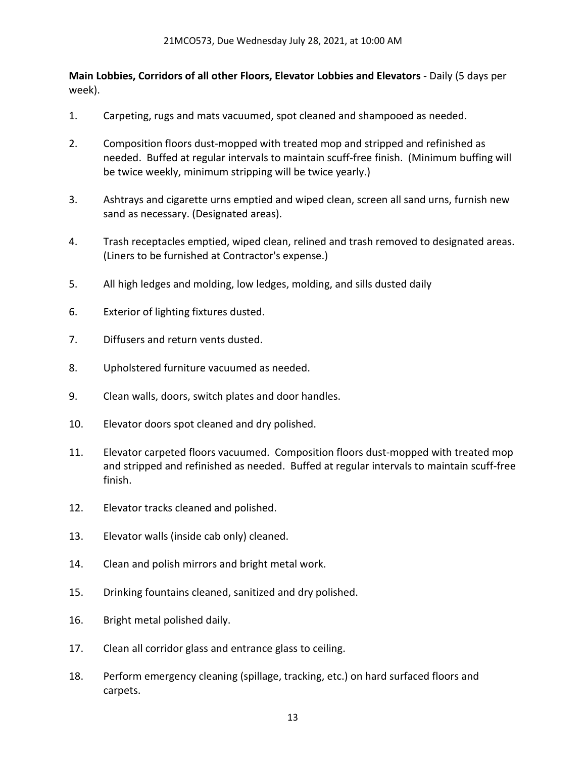**Main Lobbies, Corridors of all other Floors, Elevator Lobbies and Elevators** - Daily (5 days per week).

- 1. Carpeting, rugs and mats vacuumed, spot cleaned and shampooed as needed.
- 2. Composition floors dust-mopped with treated mop and stripped and refinished as needed. Buffed at regular intervals to maintain scuff-free finish. (Minimum buffing will be twice weekly, minimum stripping will be twice yearly.)
- 3. Ashtrays and cigarette urns emptied and wiped clean, screen all sand urns, furnish new sand as necessary. (Designated areas).
- 4. Trash receptacles emptied, wiped clean, relined and trash removed to designated areas. (Liners to be furnished at Contractor's expense.)
- 5. All high ledges and molding, low ledges, molding, and sills dusted daily
- 6. Exterior of lighting fixtures dusted.
- 7. Diffusers and return vents dusted.
- 8. Upholstered furniture vacuumed as needed.
- 9. Clean walls, doors, switch plates and door handles.
- 10. Elevator doors spot cleaned and dry polished.
- 11. Elevator carpeted floors vacuumed. Composition floors dust-mopped with treated mop and stripped and refinished as needed. Buffed at regular intervals to maintain scuff-free finish.
- 12. Elevator tracks cleaned and polished.
- 13. Elevator walls (inside cab only) cleaned.
- 14. Clean and polish mirrors and bright metal work.
- 15. Drinking fountains cleaned, sanitized and dry polished.
- 16. Bright metal polished daily.
- 17. Clean all corridor glass and entrance glass to ceiling.
- 18. Perform emergency cleaning (spillage, tracking, etc.) on hard surfaced floors and carpets.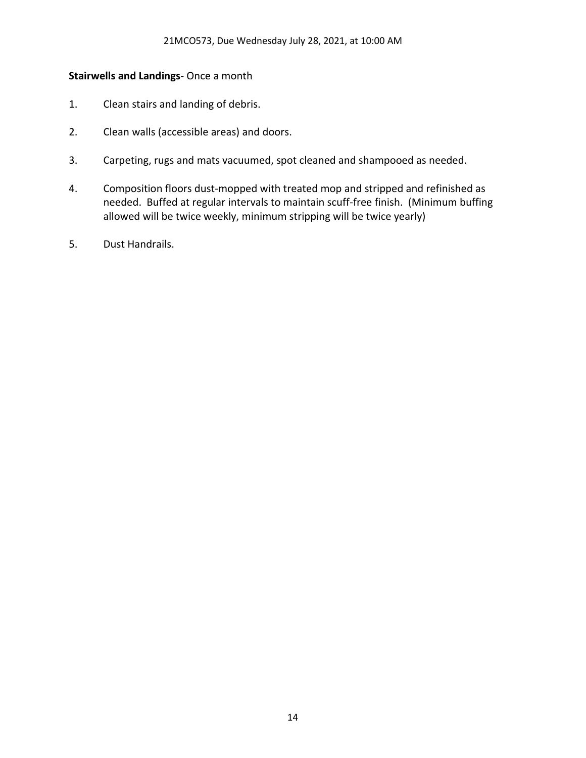# **Stairwells and Landings**- Once a month

- 1. Clean stairs and landing of debris.
- 2. Clean walls (accessible areas) and doors.
- 3. Carpeting, rugs and mats vacuumed, spot cleaned and shampooed as needed.
- 4. Composition floors dust-mopped with treated mop and stripped and refinished as needed. Buffed at regular intervals to maintain scuff-free finish. (Minimum buffing allowed will be twice weekly, minimum stripping will be twice yearly)
- 5. Dust Handrails.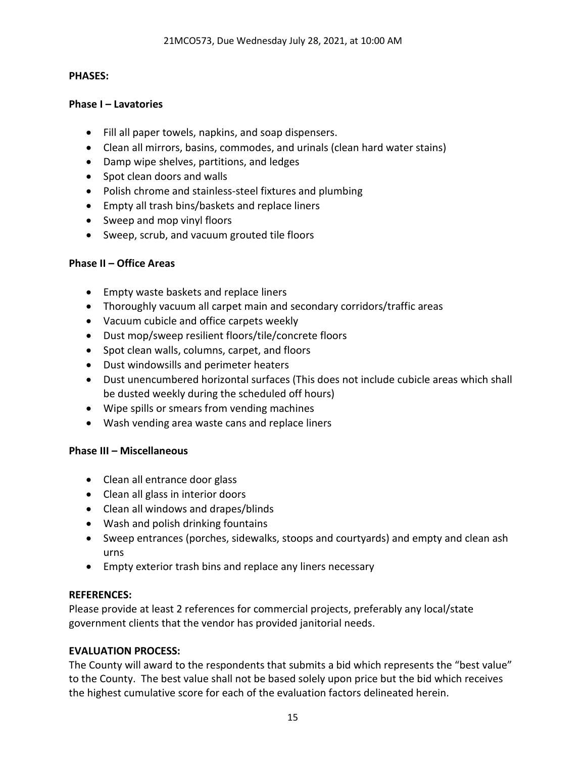#### **PHASES:**

#### **Phase I – Lavatories**

- Fill all paper towels, napkins, and soap dispensers.
- Clean all mirrors, basins, commodes, and urinals (clean hard water stains)
- Damp wipe shelves, partitions, and ledges
- Spot clean doors and walls
- Polish chrome and stainless-steel fixtures and plumbing
- Empty all trash bins/baskets and replace liners
- Sweep and mop vinyl floors
- Sweep, scrub, and vacuum grouted tile floors

#### **Phase II – Office Areas**

- Empty waste baskets and replace liners
- Thoroughly vacuum all carpet main and secondary corridors/traffic areas
- Vacuum cubicle and office carpets weekly
- Dust mop/sweep resilient floors/tile/concrete floors
- Spot clean walls, columns, carpet, and floors
- Dust windowsills and perimeter heaters
- Dust unencumbered horizontal surfaces (This does not include cubicle areas which shall be dusted weekly during the scheduled off hours)
- Wipe spills or smears from vending machines
- Wash vending area waste cans and replace liners

#### **Phase III – Miscellaneous**

- Clean all entrance door glass
- Clean all glass in interior doors
- Clean all windows and drapes/blinds
- Wash and polish drinking fountains
- Sweep entrances (porches, sidewalks, stoops and courtyards) and empty and clean ash urns
- Empty exterior trash bins and replace any liners necessary

#### **REFERENCES:**

Please provide at least 2 references for commercial projects, preferably any local/state government clients that the vendor has provided janitorial needs.

#### **EVALUATION PROCESS:**

The County will award to the respondents that submits a bid which represents the "best value" to the County. The best value shall not be based solely upon price but the bid which receives the highest cumulative score for each of the evaluation factors delineated herein.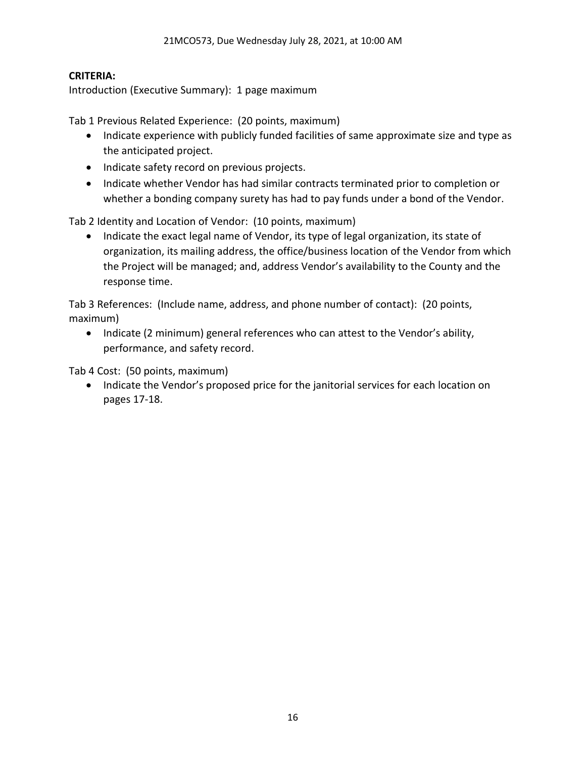#### **CRITERIA:**

Introduction (Executive Summary): 1 page maximum

Tab 1 Previous Related Experience: (20 points, maximum)

- Indicate experience with publicly funded facilities of same approximate size and type as the anticipated project.
- Indicate safety record on previous projects.
- Indicate whether Vendor has had similar contracts terminated prior to completion or whether a bonding company surety has had to pay funds under a bond of the Vendor.

Tab 2 Identity and Location of Vendor: (10 points, maximum)

• Indicate the exact legal name of Vendor, its type of legal organization, its state of organization, its mailing address, the office/business location of the Vendor from which the Project will be managed; and, address Vendor's availability to the County and the response time.

Tab 3 References: (Include name, address, and phone number of contact): (20 points, maximum)

• Indicate (2 minimum) general references who can attest to the Vendor's ability, performance, and safety record.

Tab 4 Cost: (50 points, maximum)

• Indicate the Vendor's proposed price for the janitorial services for each location on pages 17-18.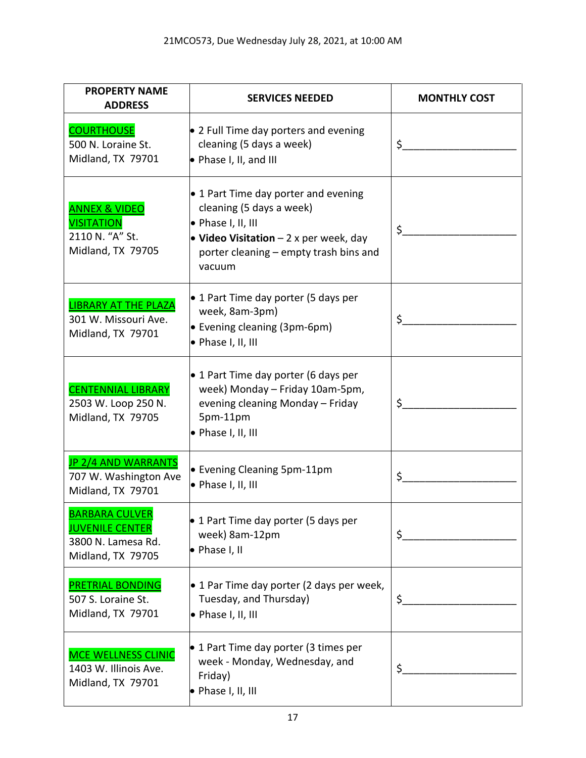| <b>PROPERTY NAME</b><br><b>ADDRESS</b>                                                     | <b>SERVICES NEEDED</b>                                                                                                                                                                       | <b>MONTHLY COST</b> |
|--------------------------------------------------------------------------------------------|----------------------------------------------------------------------------------------------------------------------------------------------------------------------------------------------|---------------------|
| <b>COURTHOUSE</b><br>500 N. Loraine St.<br>Midland, TX 79701                               | $\bullet$ 2 Full Time day porters and evening<br>cleaning (5 days a week)<br>$\bullet$ Phase I, II, and III                                                                                  | \$.                 |
| <b>ANNEX &amp; VIDEO</b><br><b>VISITATION</b><br>2110 N. "A" St.<br>Midland, TX 79705      | • 1 Part Time day porter and evening<br>cleaning (5 days a week)<br>$\bullet$ Phase I, II, III<br>• Video Visitation $-2x$ per week, day<br>porter cleaning – empty trash bins and<br>vacuum | \$.                 |
| <b>LIBRARY AT THE PLAZA</b><br>301 W. Missouri Ave.<br>Midland, TX 79701                   | • 1 Part Time day porter (5 days per<br>week, 8am-3pm)<br>• Evening cleaning (3pm-6pm)<br>• Phase I, II, III                                                                                 | \$                  |
| <b>CENTENNIAL LIBRARY</b><br>2503 W. Loop 250 N.<br>Midland, TX 79705                      | • 1 Part Time day porter (6 days per<br>week) Monday - Friday 10am-5pm,<br>evening cleaning Monday - Friday<br>5pm-11pm<br>• Phase I, II, III                                                | \$                  |
| <b>JP 2/4 AND WARRANTS</b><br>707 W. Washington Ave<br>Midland, TX 79701                   | • Evening Cleaning 5pm-11pm<br>· Phase I, II, III                                                                                                                                            | \$                  |
| <b>BARBARA CULVER</b><br><b>JUVENILE CENTER</b><br>3800 N. Lamesa Rd.<br>Midland, TX 79705 | • 1 Part Time day porter (5 days per<br>week) 8am-12pm<br>• Phase I, II                                                                                                                      | \$.                 |
| <b>PRETRIAL BONDING</b><br>507 S. Loraine St.<br>Midland, TX 79701                         | $\bullet$ 1 Par Time day porter (2 days per week,<br>Tuesday, and Thursday)<br>• Phase I, II, III                                                                                            | \$                  |
| <b>MCE WELLNESS CLINIC</b><br>1403 W. Illinois Ave.<br>Midland, TX 79701                   | • 1 Part Time day porter (3 times per<br>week - Monday, Wednesday, and<br>Friday)<br>• Phase I, II, III                                                                                      | \$                  |